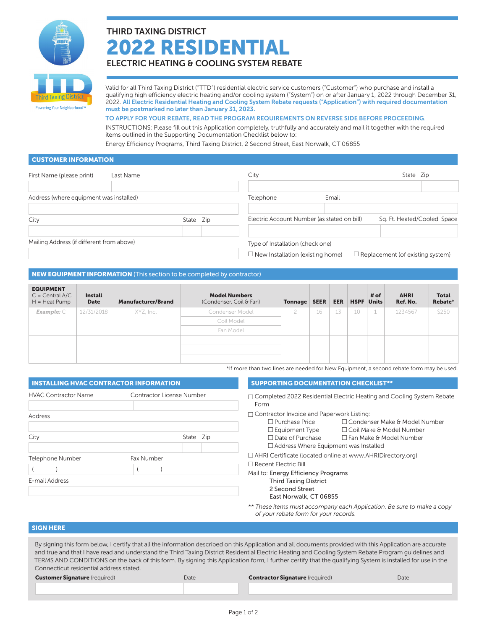

# THIRD TAXING DISTRICT 2022 RESIDENTIAL

## ELECTRIC HEATING & COOLING SYSTEM REBATE

rd Taxıng I Powering Your Neighborhood<sup>sw</sup>

Valid for all Third Taxing District ("TTD") residential electric service customers ("Customer") who purchase and install a qualifying high efficiency electric heating and/or cooling system ("System") on or after January 1, 2022 through December 31, 2022. All Electric Residential Heating and Cooling System Rebate requests ("Application") with required documentation must be postmarked no later than January 31, 2023.

### TO APPLY FOR YOUR REBATE, READ THE PROGRAM REQUIREMENTS ON REVERSE SIDE BEFORE PROCEEDING.

INSTRUCTIONS: Please fill out this Application completely, truthfully and accurately and mail it together with the required items outlined in the Supporting Documentation Checklist below to:

Energy Efficiency Programs, Third Taxing District, 2 Second Street, East Norwalk, CT 06855

## CUSTOMER INFORMATION

| First Name (please print)<br>Last Name    |           | City                                                                        | State Zip                               |
|-------------------------------------------|-----------|-----------------------------------------------------------------------------|-----------------------------------------|
| Address (where equipment was installed)   |           | Telephone<br>Email                                                          |                                         |
| City                                      | State Zip | Electric Account Number (as stated on bill)                                 | Sq. Ft. Heated/Cooled Space             |
| Mailing Address (if different from above) |           | Type of Installation (check one)<br>$\Box$ New Installation (existing home) | $\Box$ Replacement (of existing system) |

## NEW EQUIPMENT INFORMATION (This section to be completed by contractor)

| <b>EQUIPMENT</b><br>$C = Central A/C$<br>$H = Heat Pump$ | <b>Install</b><br><b>Date</b> | <b>Manufacturer/Brand</b> | <b>Model Numbers</b><br>(Condenser, Coil & Fan) | Tonnage | <b>SEER</b> | <b>EER</b> | <b>HSPF</b> Units | # of | <b>AHRI</b><br>Ref. No. | <b>Total</b><br>Rebate* |
|----------------------------------------------------------|-------------------------------|---------------------------|-------------------------------------------------|---------|-------------|------------|-------------------|------|-------------------------|-------------------------|
| $Example: \subset$                                       | 12/31/2018                    | XYZ, Inc.                 | Condenser Model                                 |         | 16          | 13         | 10                | 1    | 1234567                 | \$250                   |
|                                                          |                               |                           | Coil Model                                      |         |             |            |                   |      |                         |                         |
|                                                          |                               |                           | Fan Model                                       |         |             |            |                   |      |                         |                         |
|                                                          |                               |                           |                                                 |         |             |            |                   |      |                         |                         |
|                                                          |                               |                           |                                                 |         |             |            |                   |      |                         |                         |
|                                                          |                               |                           |                                                 |         |             |            |                   |      |                         |                         |

\*If more than two lines are needed for New Equipment, a second rebate form may be used.

| <b>INSTALLING HVAC CONTRACTOR INFORMATION</b> |                                  | <b>SUPPORTING DOCUMENTATION CHECKLIST**</b>                                                                                                                                 |
|-----------------------------------------------|----------------------------------|-----------------------------------------------------------------------------------------------------------------------------------------------------------------------------|
|                                               |                                  |                                                                                                                                                                             |
| <b>HVAC Contractor Name</b>                   | <b>Contractor License Number</b> | $\Box$ Completed 2022 Residential Electric Heating and Cooling System Rebate<br>Form                                                                                        |
| Address                                       |                                  | $\Box$ Contractor Invoice and Paperwork Listing:<br>$\Box$ Purchase Price<br>□ Condenser Make & Model Number<br>$\square$ Equipment Type<br>$\Box$ Coil Make & Model Number |
| City                                          | State Zip                        | $\Box$ Date of Purchase<br>$\Box$ Fan Make & Model Number<br>$\Box$ Address Where Equipment was Installed                                                                   |
| Telephone Number                              | Fax Number                       | □ AHRI Certificate (located online at www.AHRIDirectory.org)<br>$\Box$ Recent Electric Bill                                                                                 |
| E-mail Address                                |                                  | Mail to: Energy Efficiency Programs<br><b>Third Taxing District</b><br>2 Second Street<br>East Norwalk, CT 06855                                                            |
|                                               |                                  | ** These items must accompany each Application. Be sure to make a copy<br>of your rebate form for your records.                                                             |

## SIGN HERE

| By signing this form below, I certify that all the information described on this Application and all documents provided with this Application are accurate |  |  |  |  |  |
|------------------------------------------------------------------------------------------------------------------------------------------------------------|--|--|--|--|--|
| and true and that I have read and understand the Third Taxing District Residential Electric Heating and Cooling System Rebate Program quidelines and       |  |  |  |  |  |
| TERMS AND CONDITIONS on the back of this form. By signing this Application form, I further certify that the qualifying System is installed for use in the  |  |  |  |  |  |
| Connecticut residential address stated.                                                                                                                    |  |  |  |  |  |
|                                                                                                                                                            |  |  |  |  |  |

| <b>Customer Signature</b> (required) | Date | <b>Contractor Signature (required)</b> | Date |
|--------------------------------------|------|----------------------------------------|------|
|                                      |      |                                        |      |